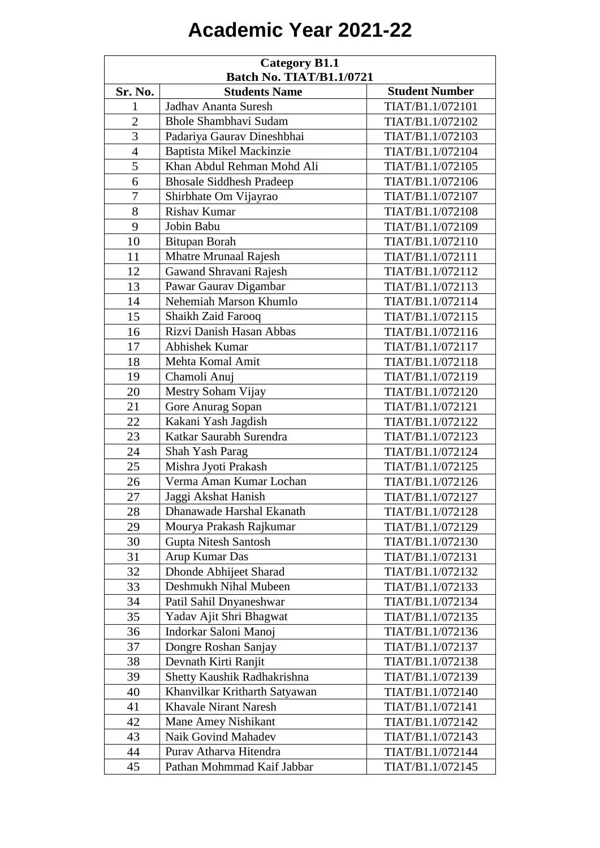## **Academic Year 2021-22**

| <b>Category B1.1</b><br><b>Batch No. TIAT/B1.1/0721</b> |                                 |                       |  |
|---------------------------------------------------------|---------------------------------|-----------------------|--|
| Sr. No.                                                 | <b>Students Name</b>            | <b>Student Number</b> |  |
| $\mathbf{1}$                                            | Jadhav Ananta Suresh            | TIAT/B1.1/072101      |  |
| $\overline{2}$                                          | <b>Bhole Shambhavi Sudam</b>    | TIAT/B1.1/072102      |  |
| 3                                                       | Padariya Gaurav Dineshbhai      | TIAT/B1.1/072103      |  |
| $\overline{4}$                                          | Baptista Mikel Mackinzie        | TIAT/B1.1/072104      |  |
| 5                                                       | Khan Abdul Rehman Mohd Ali      | TIAT/B1.1/072105      |  |
| 6                                                       | <b>Bhosale Siddhesh Pradeep</b> | TIAT/B1.1/072106      |  |
| 7                                                       | Shirbhate Om Vijayrao           | TIAT/B1.1/072107      |  |
| 8                                                       | Rishav Kumar                    | TIAT/B1.1/072108      |  |
| 9                                                       | Jobin Babu                      | TIAT/B1.1/072109      |  |
| 10                                                      | <b>Bitupan Borah</b>            | TIAT/B1.1/072110      |  |
| 11                                                      | <b>Mhatre Mrunaal Rajesh</b>    | TIAT/B1.1/072111      |  |
| 12                                                      | Gawand Shravani Rajesh          | TIAT/B1.1/072112      |  |
| 13                                                      | Pawar Gaurav Digambar           | TIAT/B1.1/072113      |  |
| 14                                                      | Nehemiah Marson Khumlo          | TIAT/B1.1/072114      |  |
| 15                                                      | Shaikh Zaid Farooq              | TIAT/B1.1/072115      |  |
| 16                                                      | Rizvi Danish Hasan Abbas        | TIAT/B1.1/072116      |  |
| 17                                                      | <b>Abhishek Kumar</b>           | TIAT/B1.1/072117      |  |
| 18                                                      | Mehta Komal Amit                | TIAT/B1.1/072118      |  |
| 19                                                      | Chamoli Anuj                    | TIAT/B1.1/072119      |  |
| 20                                                      | Mestry Soham Vijay              | TIAT/B1.1/072120      |  |
| 21                                                      | Gore Anurag Sopan               | TIAT/B1.1/072121      |  |
| 22                                                      | Kakani Yash Jagdish             | TIAT/B1.1/072122      |  |
| 23                                                      | Katkar Saurabh Surendra         | TIAT/B1.1/072123      |  |
| 24                                                      | Shah Yash Parag                 | TIAT/B1.1/072124      |  |
| 25                                                      | Mishra Jyoti Prakash            | TIAT/B1.1/072125      |  |
| 26                                                      | Verma Aman Kumar Lochan         | TIAT/B1.1/072126      |  |
| 27                                                      | Jaggi Akshat Hanish             | TIAT/B1.1/072127      |  |
| 28                                                      | Dhanawade Harshal Ekanath       | TIAT/B1.1/072128      |  |
| 29                                                      | Mourya Prakash Rajkumar         | TIAT/B1.1/072129      |  |
| 30                                                      | Gupta Nitesh Santosh            | TIAT/B1.1/072130      |  |
| 31                                                      | Arup Kumar Das                  | TIAT/B1.1/072131      |  |
| 32                                                      | Dhonde Abhijeet Sharad          | TIAT/B1.1/072132      |  |
| 33                                                      | Deshmukh Nihal Mubeen           | TIAT/B1.1/072133      |  |
| 34                                                      | Patil Sahil Dnyaneshwar         | TIAT/B1.1/072134      |  |
| 35                                                      | Yadav Ajit Shri Bhagwat         | TIAT/B1.1/072135      |  |
| 36                                                      | Indorkar Saloni Manoj           | TIAT/B1.1/072136      |  |
| 37                                                      | Dongre Roshan Sanjay            | TIAT/B1.1/072137      |  |
| 38                                                      | Devnath Kirti Ranjit            | TIAT/B1.1/072138      |  |
| 39                                                      | Shetty Kaushik Radhakrishna     | TIAT/B1.1/072139      |  |
| 40                                                      | Khanvilkar Kritharth Satyawan   | TIAT/B1.1/072140      |  |
| 41                                                      | <b>Khavale Nirant Naresh</b>    | TIAT/B1.1/072141      |  |
| 42                                                      | Mane Amey Nishikant             | TIAT/B1.1/072142      |  |
| 43                                                      | <b>Naik Govind Mahadev</b>      | TIAT/B1.1/072143      |  |
| 44                                                      | Purav Atharva Hitendra          | TIAT/B1.1/072144      |  |
| 45                                                      | Pathan Mohmmad Kaif Jabbar      | TIAT/B1.1/072145      |  |